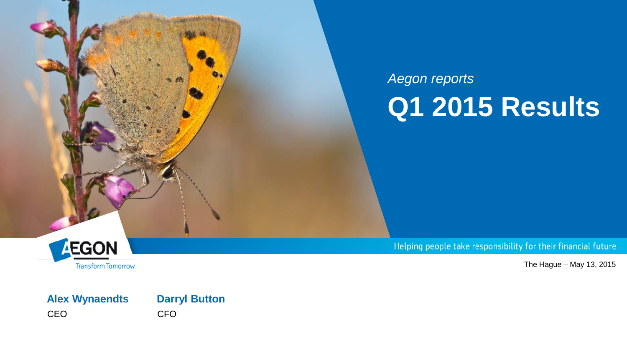

# *Aegon reports* **Q1 2015 Results**



The Hague – May 13, 2015

#### **Alex Wynaendts Darryl Button** CEO CFO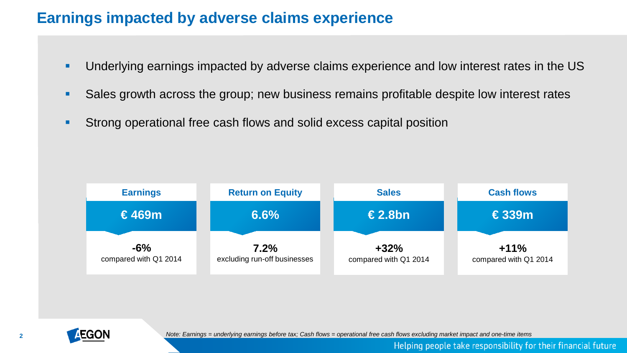### **Earnings impacted by adverse claims experience**

- Underlying earnings impacted by adverse claims experience and low interest rates in the US
- Sales growth across the group; new business remains profitable despite low interest rates
- **Strong operational free cash flows and solid excess capital position**





*Note: Earnings = underlying earnings before tax; Cash flows = operational free cash flows excluding market impact and one-time items*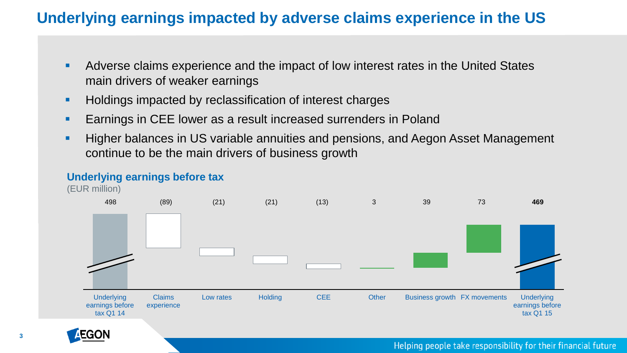### **Underlying earnings impacted by adverse claims experience in the US**

- Adverse claims experience and the impact of low interest rates in the United States main drivers of weaker earnings
- **Holdings impacted by reclassification of interest charges**
- **Earnings in CEE lower as a result increased surrenders in Poland**
- **Higher balances in US variable annuities and pensions, and Aegon Asset Management** continue to be the main drivers of business growth

#### **Underlying earnings before tax**

(EUR million)



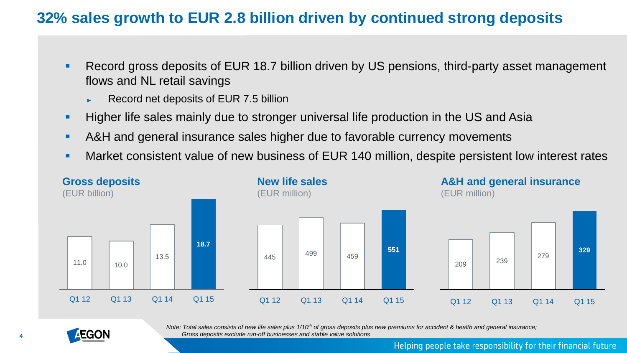### **32% sales growth to EUR 2.8 billion driven by continued strong deposits**

- Record gross deposits of EUR 18.7 billion driven by US pensions, third-party asset management flows and NL retail savings
	- ► Record net deposits of EUR 7.5 billion
- **Higher life sales mainly due to stronger universal life production in the US and Asia**
- A&H and general insurance sales higher due to favorable currency movements
- Market consistent value of new business of EUR 140 million, despite persistent low interest rates





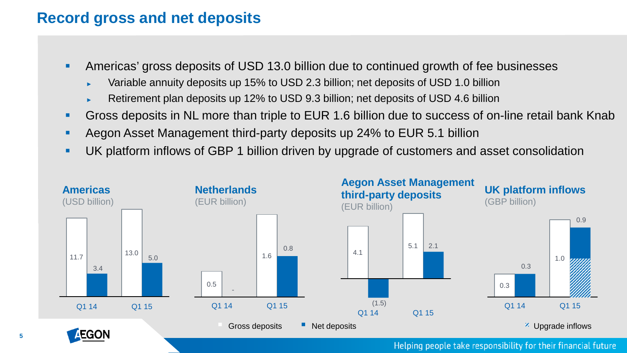### **Record gross and net deposits**

**5**

- Americas' gross deposits of USD 13.0 billion due to continued growth of fee businesses
	- Variable annuity deposits up 15% to USD 2.3 billion; net deposits of USD 1.0 billion
	- Retirement plan deposits up 12% to USD 9.3 billion; net deposits of USD 4.6 billion
- Gross deposits in NL more than triple to EUR 1.6 billion due to success of on-line retail bank Knab
- **Aegon Asset Management third-party deposits up 24% to EUR 5.1 billion**
- UK platform inflows of GBP 1 billion driven by upgrade of customers and asset consolidation

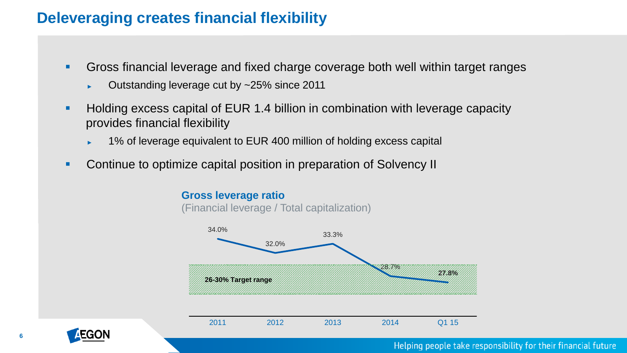### **Deleveraging creates financial flexibility**

- Gross financial leverage and fixed charge coverage both well within target ranges
	- ► Outstanding leverage cut by ~25% since 2011
- **Holding excess capital of EUR 1.4 billion in combination with leverage capacity** provides financial flexibility
	- 1% of leverage equivalent to EUR 400 million of holding excess capital
- **Continue to optimize capital position in preparation of Solvency II**

#### **Gross leverage ratio**

(Financial leverage / Total capitalization)



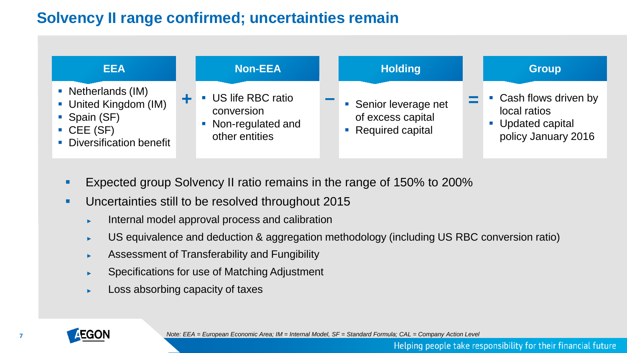### **Solvency II range confirmed; uncertainties remain**



- **Expected group Solvency II ratio remains in the range of 150% to 200%**
- **Uncertainties still to be resolved throughout 2015** 
	- ► Internal model approval process and calibration
	- ► US equivalence and deduction & aggregation methodology (including US RBC conversion ratio)
	- ► Assessment of Transferability and Fungibility
	- Specifications for use of Matching Adjustment
	- Loss absorbing capacity of taxes

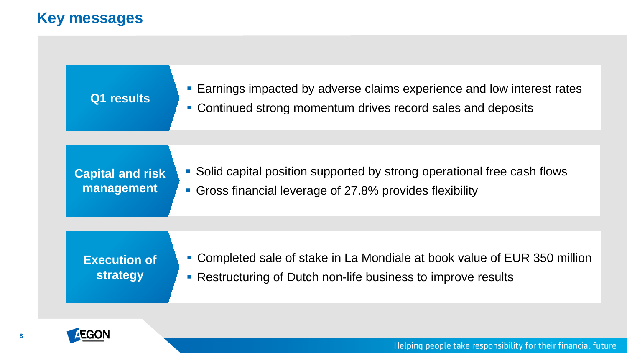## **Key messages**

| Q1 results                             | <b>Earnings impacted by adverse claims experience and low interest rates</b><br>• Continued strong momentum drives record sales and deposits |
|----------------------------------------|----------------------------------------------------------------------------------------------------------------------------------------------|
|                                        |                                                                                                                                              |
| <b>Capital and risk</b><br>management  | • Solid capital position supported by strong operational free cash flows<br>• Gross financial leverage of 27.8% provides flexibility         |
|                                        |                                                                                                                                              |
| <b>Execution of</b><br><b>strategy</b> | • Completed sale of stake in La Mondiale at book value of EUR 350 million<br>• Restructuring of Dutch non-life business to improve results   |

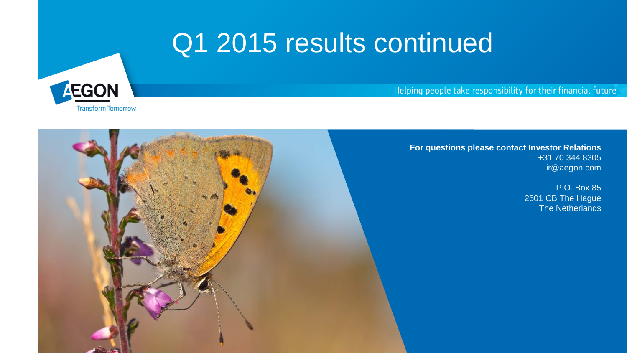# Q1 2015 results continued



Helping people take responsibility for their financial future



**For questions please contact Investor Relations** +31 70 344 8305 ir@aegon.com

> P.O. Box 85 2501 CB The Hague The Netherlands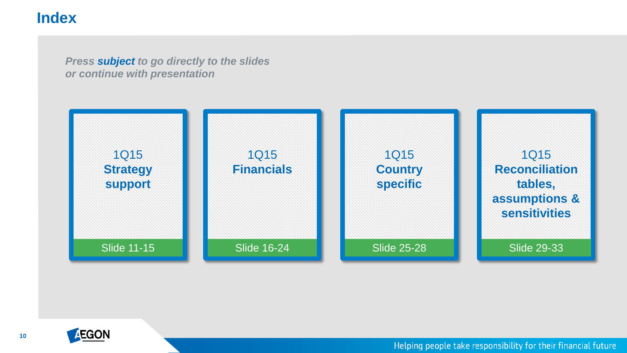### **Index**

*Press subject to go directly to the slides or continue with presentation*



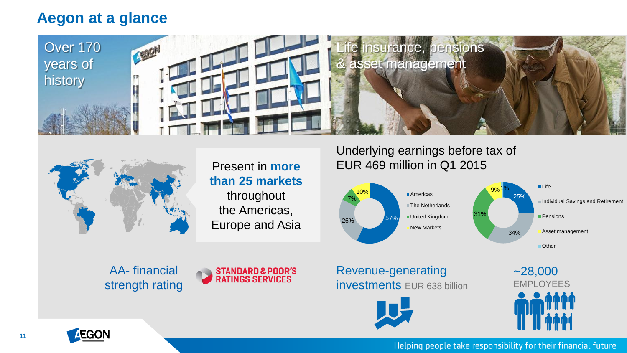### <span id="page-10-0"></span>**Aegon at a glance**





Present in **more than 25 markets**  throughout the Americas, Europe and Asia

AA- financial strength rating



Underlying earnings before tax of EUR 469 million in Q1 2015



Revenue-generating investments EUR 638 billion



~28,000 **FMPI OYFFS** 

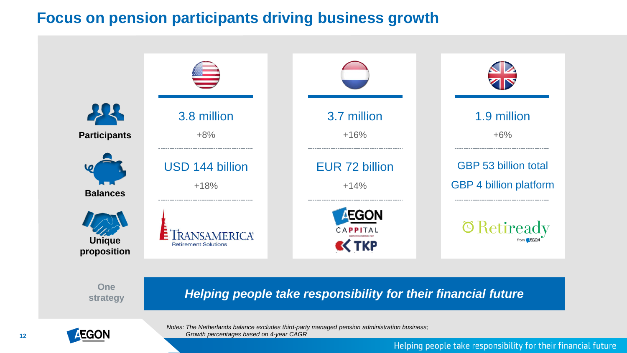### **Focus on pension participants driving business growth**



**One** 

*strategy Helping people take responsibility for their financial future* 



*Notes: The Netherlands balance excludes third-party managed pension administration business; Growth percentages based on 4-year CAGR*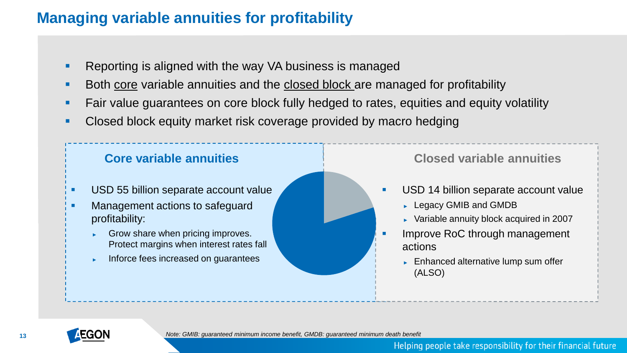## **Managing variable annuities for profitability**

- Reporting is aligned with the way VA business is managed
- Both core variable annuities and the closed block are managed for profitability
- **Fair value guarantees on core block fully hedged to rates, equities and equity volatility**
- Closed block equity market risk coverage provided by macro hedging



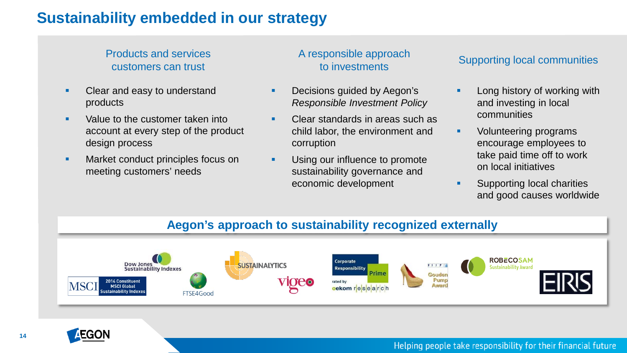### **Sustainability embedded in our strategy**

#### Products and services customers can trust

- Clear and easy to understand products
- Value to the customer taken into account at every step of the product design process
- **Market conduct principles focus on** meeting customers' needs

# A responsible approach

- **Decisions guided by Aegon's** *Responsible Investment Policy*
- Clear standards in areas such as child labor, the environment and corruption
- **Using our influence to promote** sustainability governance and economic development

#### sportsible approach<br>to investments

- Long history of working with and investing in local communities
- **vector** Volunteering programs encourage employees to take paid time off to work on local initiatives
- Supporting local charities and good causes worldwide

#### **Aegon's approach to sustainability recognized externally**



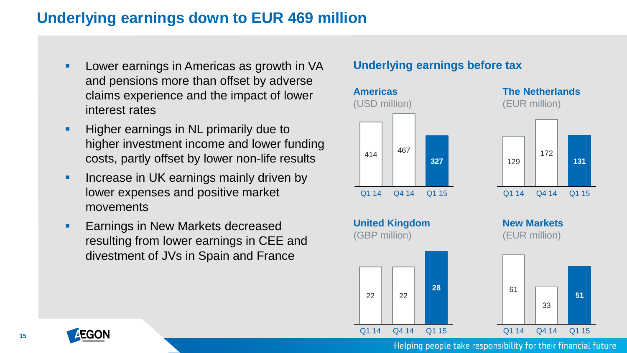### <span id="page-14-0"></span>**Underlying earnings down to EUR 469 million**

- **Lower earnings in Americas as growth in VA** and pensions more than offset by adverse claims experience and the impact of lower interest rates
- **Higher earnings in NL primarily due to** higher investment income and lower funding costs, partly offset by lower non-life results
- **Increase in UK earnings mainly driven by** lower expenses and positive market movements
- **Earnings in New Markets decreased** resulting from lower earnings in CEE and divestment of JVs in Spain and France

#### **Underlying earnings before tax**



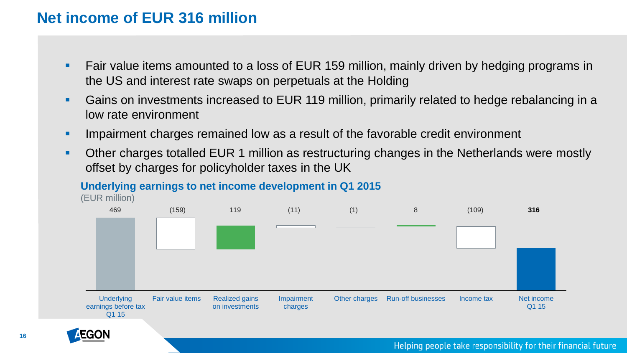### **Net income of EUR 316 million**

- Fair value items amounted to a loss of EUR 159 million, mainly driven by hedging programs in the US and interest rate swaps on perpetuals at the Holding
- Gains on investments increased to EUR 119 million, primarily related to hedge rebalancing in a low rate environment
- **IMPE 1** Impairment charges remained low as a result of the favorable credit environment
- Other charges totalled EUR 1 million as restructuring changes in the Netherlands were mostly offset by charges for policyholder taxes in the UK

#### **Underlying earnings to net income development in Q1 2015**



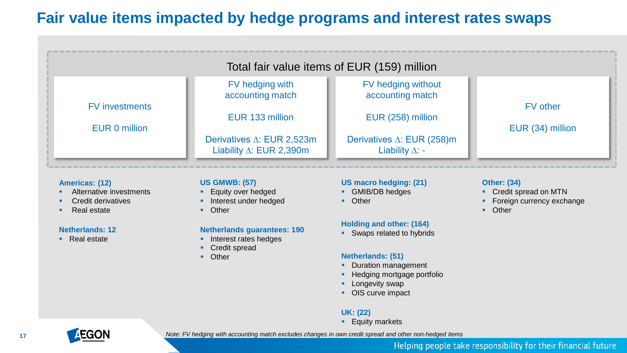### **Fair value items impacted by hedge programs and interest rates swaps**

|                       | Total fair value items of EUR (159) million                             |                                                                |                  |  |  |  |  |  |
|-----------------------|-------------------------------------------------------------------------|----------------------------------------------------------------|------------------|--|--|--|--|--|
| <b>FV</b> investments | FV hedging with<br>accounting match                                     | FV hedging without<br>accounting match                         | <b>FV</b> other  |  |  |  |  |  |
| EUR 0 million         | EUR 133 million                                                         | EUR (258) million                                              | EUR (34) million |  |  |  |  |  |
|                       | Derivatives $\triangle$ : EUR 2,523m<br>Liability $\Delta$ : EUR 2,390m | Derivatives $\triangle$ : EUR (258)m<br>Liability $\Delta$ : - |                  |  |  |  |  |  |

#### **Americas: (12)**

- **Alternative investments**
- Credit derivatives
- Real estate

#### **Netherlands: 12**

• Real estate

#### **US GMWB: (57)**

- **Equity over hedged**
- **Interest under hedged**
- **•** Other

#### **Netherlands guarantees: 190**

- **Interest rates hedges**
- **Credit spread**
- **•** Other

#### **US macro hedging: (21)**

- **GMIB/DB** hedges
- **•** Other

#### **Holding and other: (164)**

Swaps related to hybrids

#### **Netherlands: (51)**

- **Duration management**
- **Hedging mortgage portfolio**
- **Longevity swap**
- OIS curve impact

#### **UK: (22)**

**Equity markets** 

#### Helping people take responsibility for their financial future

**Other: (34)**

**•** Other

 Credit spread on MTN • Foreign currency exchange

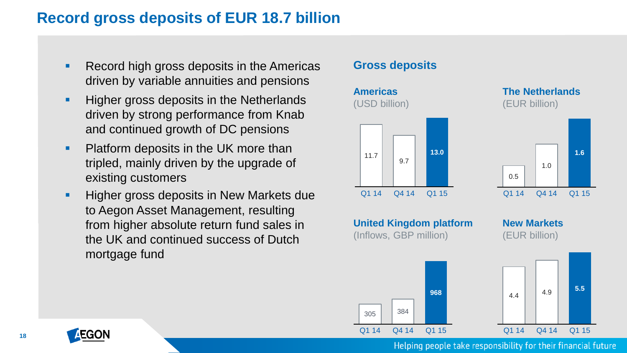### **Record gross deposits of EUR 18.7 billion**

- Record high gross deposits in the Americas driven by variable annuities and pensions
- **Higher gross deposits in the Netherlands** driven by strong performance from Knab and continued growth of DC pensions
- **Platform deposits in the UK more than** tripled, mainly driven by the upgrade of existing customers
- **Higher gross deposits in New Markets due** to Aegon Asset Management, resulting from higher absolute return fund sales in the UK and continued success of Dutch mortgage fund

#### **Gross deposits**



EGOI

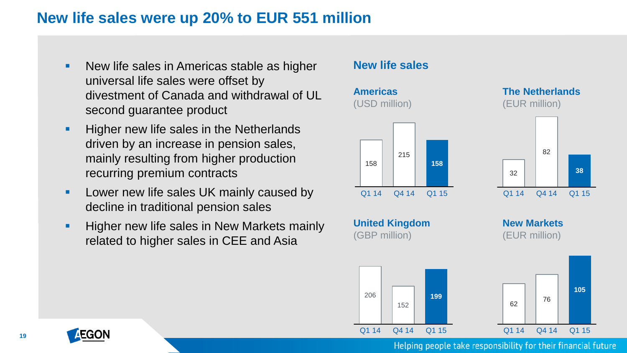### **New life sales were up 20% to EUR 551 million**

- New life sales in Americas stable as higher universal life sales were offset by divestment of Canada and withdrawal of UL second guarantee product
- **Higher new life sales in the Netherlands** driven by an increase in pension sales, mainly resulting from higher production recurring premium contracts
- **Lower new life sales UK mainly caused by** decline in traditional pension sales
- **Higher new life sales in New Markets mainly** related to higher sales in CEE and Asia

#### **New life sales**



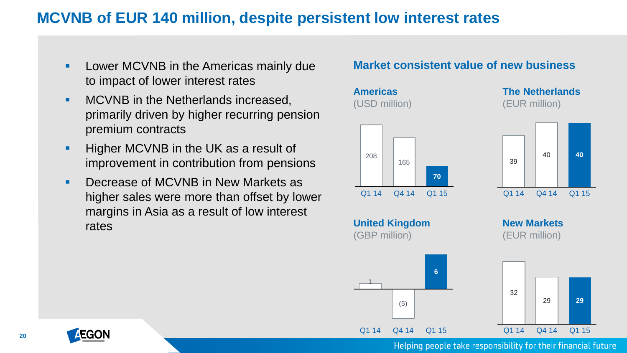### **MCVNB of EUR 140 million, despite persistent low interest rates**

- **Lower MCVNB in the Americas mainly due** to impact of lower interest rates
- **MCVNB** in the Netherlands increased, primarily driven by higher recurring pension premium contracts
- **Higher MCVNB in the UK as a result of** improvement in contribution from pensions
- **Decrease of MCVNB in New Markets as** higher sales were more than offset by lower margins in Asia as a result of low interest rates

#### **Market consistent value of new business**



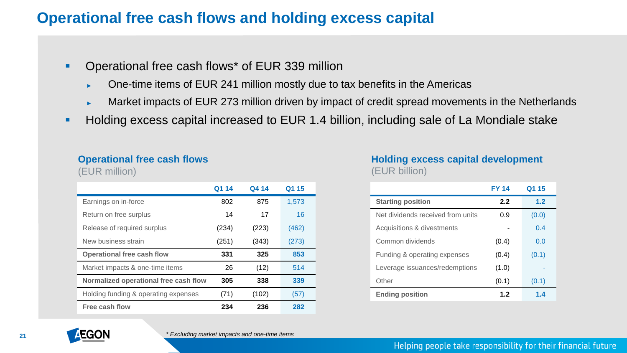### **Operational free cash flows and holding excess capital**

- **Operational free cash flows\* of EUR 339 million** 
	- ► One-time items of EUR 241 million mostly due to tax benefits in the Americas
	- Market impacts of EUR 273 million driven by impact of credit spread movements in the Netherlands
- **Holding excess capital increased to EUR 1.4 billion, including sale of La Mondiale stake**

#### **Operational free cash flows**

(EUR million)

|                                       | Q1 14 | Q4 14 | Q1 15 |
|---------------------------------------|-------|-------|-------|
| Earnings on in-force                  | 802   | 875   | 1,573 |
| Return on free surplus                | 14    | 17    | 16    |
| Release of required surplus           | (234) | (223) | (462) |
| New business strain                   | (251) | (343) | (273) |
| <b>Operational free cash flow</b>     | 331   | 325   | 853   |
| Market impacts & one-time items       | 26    | (12)  | 514   |
| Normalized operational free cash flow | 305   | 338   | 339   |
| Holding funding & operating expenses  | (71)  | (102) | (57)  |
| Free cash flow                        | 234   | 236   | 282   |

#### **Holding excess capital development** (EUR billion)

|                                   | <b>FY 14</b> | Q1 15 |
|-----------------------------------|--------------|-------|
| <b>Starting position</b>          | 2.2          | 1.2   |
| Net dividends received from units | 0.9          | (0.0) |
| Acquisitions & divestments        |              | 0.4   |
| Common dividends                  | (0.4)        | 0.0   |
| Funding & operating expenses      | (0.4)        | (0.1) |
| Leverage issuances/redemptions    | (1.0)        |       |
| Other                             | (0.1)        | (0.1) |
| <b>Ending position</b>            | 1.2          | 1.4   |

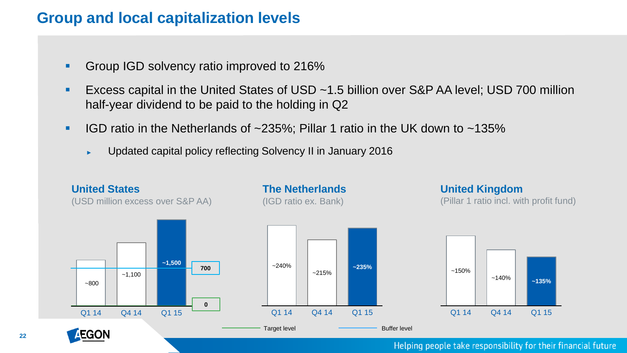### **Group and local capitalization levels**

- Group IGD solvency ratio improved to 216%
- Excess capital in the United States of USD ~1.5 billion over S&P AA level; USD 700 million half-year dividend to be paid to the holding in Q2
- IGD ratio in the Netherlands of  $\sim$ 235%; Pillar 1 ratio in the UK down to  $\sim$ 135%
	- ► Updated capital policy reflecting Solvency II in January 2016



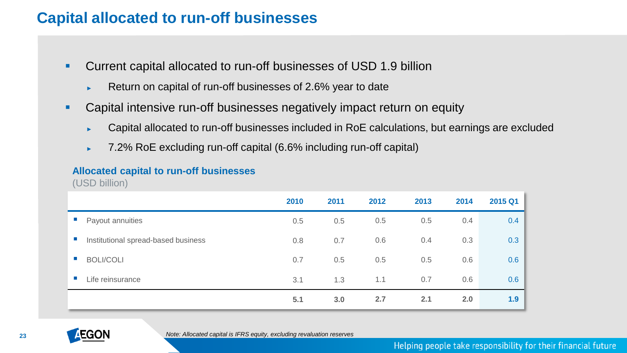### **Capital allocated to run-off businesses**

- Current capital allocated to run-off businesses of USD 1.9 billion
	- ► Return on capital of run-off businesses of 2.6% year to date
- Capital intensive run-off businesses negatively impact return on equity
	- ► Capital allocated to run-off businesses included in RoE calculations, but earnings are excluded
	- ► 7.2% RoE excluding run-off capital (6.6% including run-off capital)

#### **Allocated capital to run-off businesses**

(USD billion)

|                |                                     | 2010 | 2011 | 2012 | 2013 | 2014 | 2015 Q1 |
|----------------|-------------------------------------|------|------|------|------|------|---------|
| $\sim$         | Payout annuities                    | 0.5  | 0.5  | 0.5  | 0.5  | 0.4  | 0.4     |
| $\mathbb{R}^n$ | Institutional spread-based business | 0.8  | 0.7  | 0.6  | 0.4  | 0.3  | 0.3     |
| <b>In</b>      | <b>BOLI/COLI</b>                    | 0.7  | 0.5  | 0.5  | 0.5  | 0.6  | 0.6     |
|                | Life reinsurance                    | 3.1  | 1.3  | 1.1  | 0.7  | 0.6  | 0.6     |
|                |                                     | 5.1  | 3.0  | 2.7  | 2.1  | 2.0  | 1.9     |

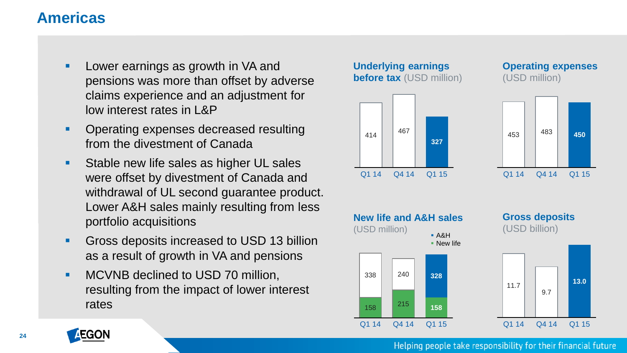### <span id="page-23-0"></span>**Americas**

- **Lower earnings as growth in VA and** pensions was more than offset by adverse claims experience and an adjustment for low interest rates in L&P
- **Operating expenses decreased resulting** from the divestment of Canada
- **Stable new life sales as higher UL sales** were offset by divestment of Canada and withdrawal of UL second guarantee product. Lower A&H sales mainly resulting from less portfolio acquisitions
- **Gross deposits increased to USD 13 billion** as a result of growth in VA and pensions
- **MCVNB declined to USD 70 million,** resulting from the impact of lower interest rates





#### **Operating expenses** (USD million)





#### **Gross deposits** (USD billion)



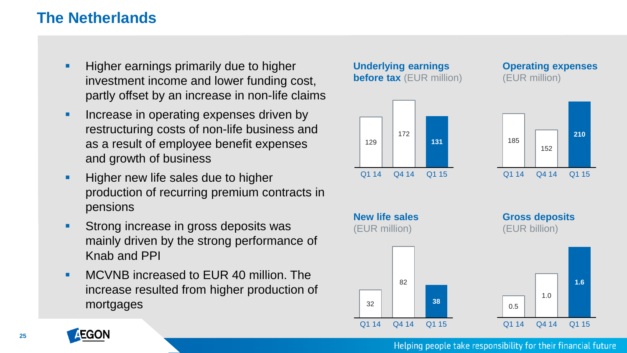### **The Netherlands**

- Higher earnings primarily due to higher investment income and lower funding cost, partly offset by an increase in non-life claims
- **Increase in operating expenses driven by** restructuring costs of non-life business and as a result of employee benefit expenses and growth of business
- **Higher new life sales due to higher** production of recurring premium contracts in pensions
- **Strong increase in gross deposits was** mainly driven by the strong performance of Knab and PPI
- **MCVNB** increased to EUR 40 million. The increase resulted from higher production of mortgages





**Operating expenses** (EUR million)





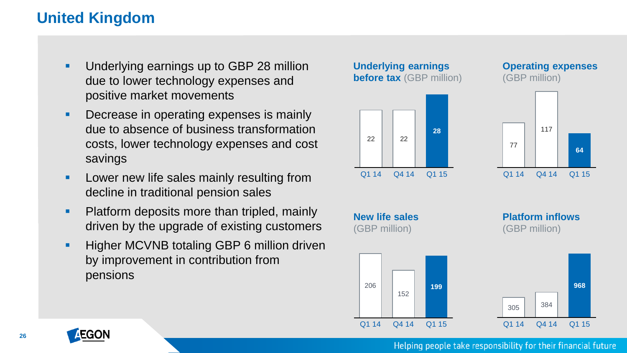### **United Kingdom**

- **Underlying earnings up to GBP 28 million** due to lower technology expenses and positive market movements
- Decrease in operating expenses is mainly due to absence of business transformation costs, lower technology expenses and cost savings
- **Lower new life sales mainly resulting from** decline in traditional pension sales
- Platform deposits more than tripled, mainly driven by the upgrade of existing customers
- **Higher MCVNB totaling GBP 6 million driven** by improvement in contribution from pensions



(GBP million)

152

Q1 14 Q4 14 Q1 15

206

**Operating expenses** (GBP million)

117

**64**



77



Q1 14 Q4 14 Q1 15

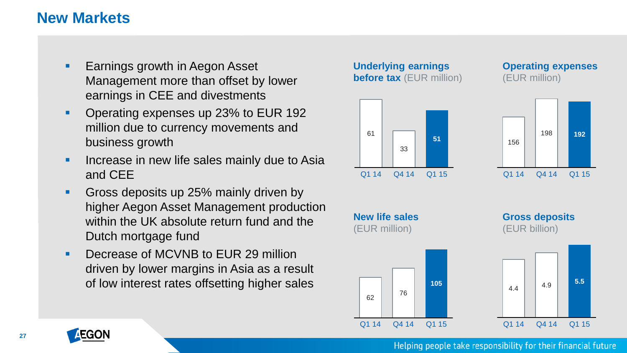### **New Markets**

- **Earnings growth in Aegon Asset** Management more than offset by lower earnings in CEE and divestments
- **Operating expenses up 23% to EUR 192** million due to currency movements and business growth
- **If the Increase in new life sales mainly due to Asia** and CEE
- Gross deposits up 25% mainly driven by higher Aegon Asset Management production within the UK absolute return fund and the Dutch mortgage fund
- Decrease of MCVNB to EUR 29 million driven by lower margins in Asia as a result of low interest rates offsetting higher sales





**Operating expenses** (EUR million)





Q1 14 Q4 14 Q1 15







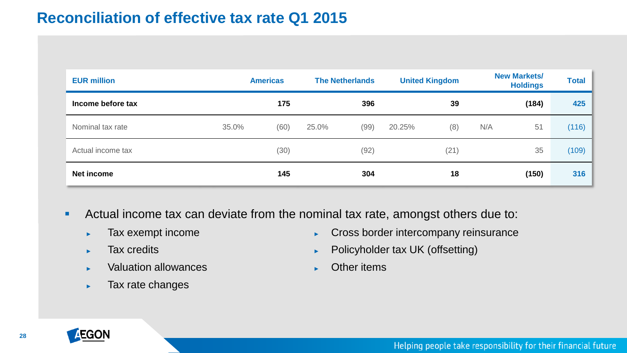### <span id="page-27-0"></span>**Reconciliation of effective tax rate Q1 2015**

| <b>EUR million</b> |       | <b>Americas</b> |       | <b>The Netherlands</b> |        | <b>United Kingdom</b> |     | <b>New Markets/</b><br><b>Holdings</b> | <b>Total</b> |
|--------------------|-------|-----------------|-------|------------------------|--------|-----------------------|-----|----------------------------------------|--------------|
| Income before tax  |       | 175             |       | 396                    |        | 39                    |     | (184)                                  | 425          |
| Nominal tax rate   | 35.0% | (60)            | 25.0% | (99)                   | 20.25% | (8)                   | N/A | 51                                     | (116)        |
| Actual income tax  |       | (30)            |       | (92)                   |        | (21)                  |     | 35                                     | (109)        |
| Net income         |       | 145             |       | 304                    |        | 18                    |     | (150)                                  | 316          |

- Actual income tax can deviate from the nominal tax rate, amongst others due to:
	- ► Tax exempt income
	- ► Tax credits
	- ► Valuation allowances
	- ► Tax rate changes
- Cross border intercompany reinsurance
- ► Policyholder tax UK (offsetting)
- ► Other items

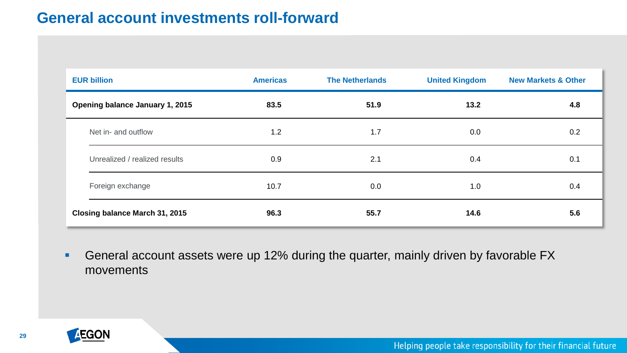### **General account investments roll-forward**

| <b>EUR billion</b>              | <b>Americas</b> | <b>The Netherlands</b> | <b>United Kingdom</b> | <b>New Markets &amp; Other</b> |
|---------------------------------|-----------------|------------------------|-----------------------|--------------------------------|
| Opening balance January 1, 2015 | 83.5            | 51.9                   | 13.2                  | 4.8                            |
| Net in- and outflow             | 1.2             | 1.7                    | 0.0                   | 0.2                            |
| Unrealized / realized results   | 0.9             | 2.1                    | 0.4                   | 0.1                            |
| Foreign exchange                | 10.7            | 0.0                    | 1.0                   | 0.4                            |
| Closing balance March 31, 2015  | 96.3            | 55.7                   | 14.6                  | 5.6                            |

**General account assets were up 12% during the quarter, mainly driven by favorable FX** movements

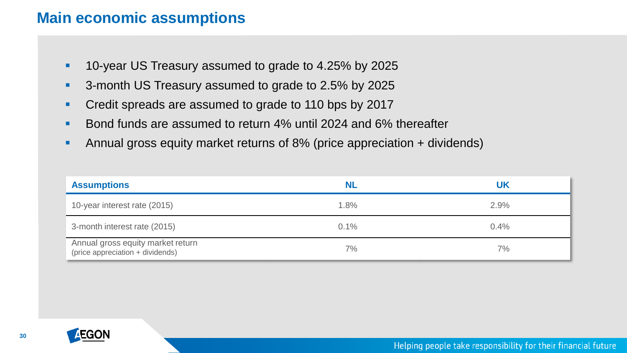### **Main economic assumptions**

- **10-year US Treasury assumed to grade to 4.25% by 2025**
- 3-month US Treasury assumed to grade to 2.5% by 2025
- **Credit spreads are assumed to grade to 110 bps by 2017**
- Bond funds are assumed to return 4% until 2024 and 6% thereafter
- Annual gross equity market returns of 8% (price appreciation + dividends)

| <b>Assumptions</b>                                                    | NL   | UK   |
|-----------------------------------------------------------------------|------|------|
| 10-year interest rate (2015)                                          | 1.8% | 2.9% |
| 3-month interest rate (2015)                                          | 0.1% | 0.4% |
| Annual gross equity market return<br>(price appreciation + dividends) | 7%   | 7%   |

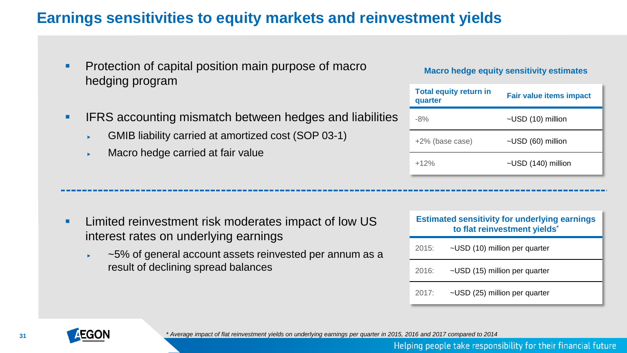### **Earnings sensitivities to equity markets and reinvestment yields**

- **Protection of capital position main purpose of macro** hedging program
- **IFRS accounting mismatch between hedges and liabilities** 
	- GMIB liability carried at amortized cost (SOP 03-1)

**EXECUTE:** Limited reinvestment risk moderates impact of low US

~5% of general account assets reinvested per annum as a

Macro hedge carried at fair value

interest rates on underlying earnings

result of declining spread balances

#### **Macro hedge equity sensitivity estimates**

| <b>Total equity return in</b><br>quarter | <b>Fair value items impact</b> |  |
|------------------------------------------|--------------------------------|--|
| $-8%$                                    | ~USD (10) million              |  |
| +2% (base case)                          | ~USD (60) million              |  |
| $+12%$                                   | $\sim$ USD (140) million       |  |

|       | <b>Estimated sensitivity for underlying earnings</b><br>to flat reinvestment yields* |  |  |  |  |
|-------|--------------------------------------------------------------------------------------|--|--|--|--|
| 2015: | ~USD (10) million per quarter                                                        |  |  |  |  |
| 2016: | ~USD (15) million per quarter                                                        |  |  |  |  |
| 2017: | ~USD (25) million per quarter                                                        |  |  |  |  |



*\* Average impact of flat reinvestment yields on underlying earnings per quarter in 2015, 2016 and 2017 compared to 2014*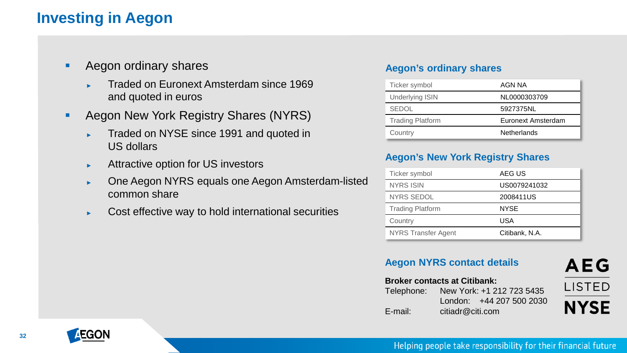### **Investing in Aegon**

- **Aegon ordinary shares** 
	- ► Traded on Euronext Amsterdam since 1969 and quoted in euros
- **Aegon New York Registry Shares (NYRS)** 
	- ► Traded on NYSE since 1991 and quoted in US dollars
	- ► Attractive option for US investors
	- ► One Aegon NYRS equals one Aegon Amsterdam-listed common share
	- ► Cost effective way to hold international securities

#### **Aegon's ordinary shares**

| Ticker symbol           | AGN NA             |
|-------------------------|--------------------|
| <b>Underlying ISIN</b>  | NL0000303709       |
| <b>SEDOL</b>            | 5927375NL          |
| <b>Trading Platform</b> | Euronext Amsterdam |
| Country                 | <b>Netherlands</b> |

#### **Aegon's New York Registry Shares**

| Ticker symbol           | AEG US         |
|-------------------------|----------------|
| <b>NYRS ISIN</b>        | US0079241032   |
| <b>NYRS SEDOL</b>       | 2008411US      |
| <b>Trading Platform</b> | <b>NYSE</b>    |
| Country                 | USA            |
| NYRS Transfer Agent     | Citibank, N.A. |

#### **Aegon NYRS contact details**

## **AEG LISTED NYSE**

#### **Broker contacts at Citibank:**

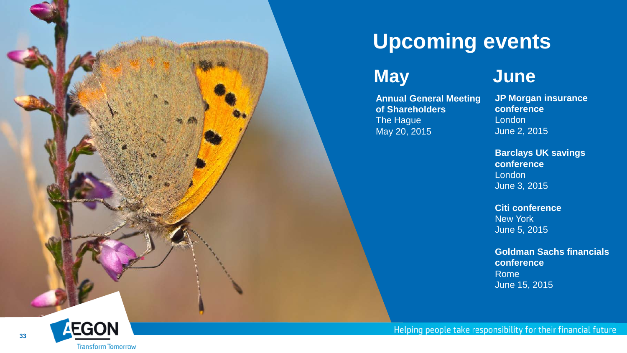

## **Upcoming events**

## **May**

**Annual General Meeting of Shareholders** The Hague May 20, 2015

### **June**

**JP Morgan insurance conference** London June 2, 2015

**Barclays UK savings conference London** June 3, 2015

**Citi conference** New York June 5, 2015

**Goldman Sachs financials conference** Rome June 15, 2015